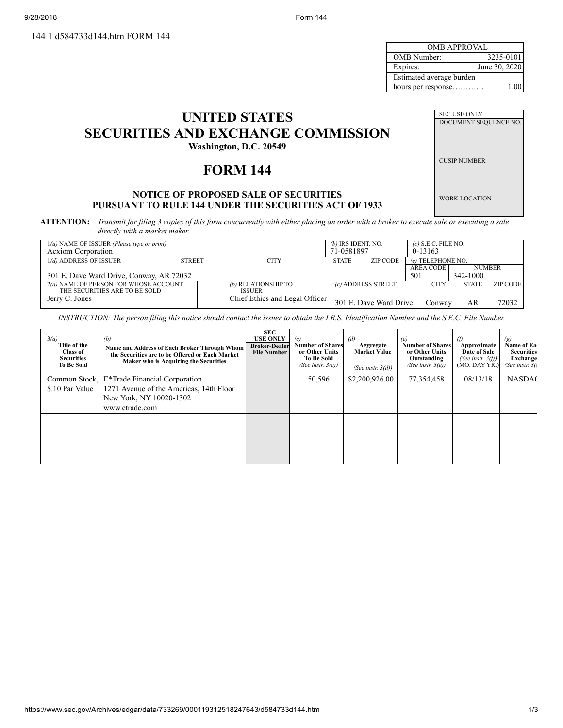144 1 d584733d144.htm FORM 144

9/28/2018 Form 144

| OMB APPROVAL             |               |  |  |  |  |
|--------------------------|---------------|--|--|--|--|
| <b>OMB</b> Number:       | 3235-0101     |  |  |  |  |
| Expires:                 | June 30, 2020 |  |  |  |  |
| Estimated average burden |               |  |  |  |  |
| hours per response       | 1.00          |  |  |  |  |

| <b>UNITED STATES</b>                      |
|-------------------------------------------|
| <b>SECURITIES AND EXCHANGE COMMISSION</b> |
| Washington, D.C. 20549                    |

# **FORM 144**

# **NOTICE OF PROPOSED SALE OF SECURITIES PURSUANT TO RULE 144 UNDER THE SECURITIES ACT OF 1933**

SEC USE ONLY DOCUMENT SEQUENCE NO. CUSIP NUMBER WORK LOCATION

ATTENTION: Transmit for filing 3 copies of this form concurrently with either placing an order with a broker to execute sale or executing a sale *directly with a market maker.*

| $1(a)$ NAME OF ISSUER (Please type or print)<br><b>Acxiom Corporation</b> |               |                                      | $(b)$ IRS IDENT. NO.<br>71-0581897 |                        | $(c)$ S.E.C. FILE NO.<br>$0-13163$ |               |          |
|---------------------------------------------------------------------------|---------------|--------------------------------------|------------------------------------|------------------------|------------------------------------|---------------|----------|
| 1(d) ADDRESS OF ISSUER                                                    | <b>STREET</b> | CITY                                 | <b>STATE</b>                       | ZIP CODE               | (e) TELEPHONE NO.                  |               |          |
|                                                                           |               |                                      |                                    |                        | <b>AREA CODE</b>                   | <b>NUMBER</b> |          |
| 301 E. Dave Ward Drive, Conway, AR 72032                                  |               |                                      |                                    |                        | 501                                | 342-1000      |          |
| 2(a) NAME OF PERSON FOR WHOSE ACCOUNT<br>THE SECURITIES ARE TO BE SOLD    |               | (b) RELATIONSHIP TO<br><b>ISSUER</b> |                                    | (c) ADDRESS STREET     | <b>CITY</b>                        | <b>STATE</b>  | ZIP CODE |
| Jerry C. Jones                                                            |               | Chief Ethics and Legal Officer       |                                    | 301 E. Dave Ward Drive | Conway                             | AR            | 72032    |

INSTRUCTION: The person filing this notice should contact the issuer to obtain the I.R.S. Identification Number and the S.E.C. File Number.

| 3(a)<br>Title of the<br><b>Class of</b><br><b>Securities</b><br><b>To Be Sold</b> | (b)<br>Name and Address of Each Broker Through Whom<br>the Securities are to be Offered or Each Market<br>Maker who is Acquiring the Securities | <b>SEC</b><br><b>USE ONLY</b><br><b>Broker-Dealer</b><br><b>File Number</b> | (c)<br><b>Number of Shares</b><br>or Other Units<br><b>To Be Sold</b><br>(See instr. $3(c)$ ) | (d)<br>Aggregate<br><b>Market Value</b><br>(See instr. $3(d)$ ) | (e)<br><b>Number of Shares</b><br>or Other Units<br>Outstanding<br>(See instr. $3(e)$ ) | $\theta$<br>Approximate<br>Date of Sale<br>(See instr. $3(f)$ )<br>$(MO.$ DAY YR.) | $\left( g\right)$<br>Name of Ea<br><b>Securities</b><br><b>Exchange</b><br>(See instr. $3()$ |
|-----------------------------------------------------------------------------------|-------------------------------------------------------------------------------------------------------------------------------------------------|-----------------------------------------------------------------------------|-----------------------------------------------------------------------------------------------|-----------------------------------------------------------------|-----------------------------------------------------------------------------------------|------------------------------------------------------------------------------------|----------------------------------------------------------------------------------------------|
| Common Stock,<br>\$.10 Par Value                                                  | E*Trade Financial Corporation<br>1271 Avenue of the Americas, 14th Floor<br>New York, NY 10020-1302<br>www.etrade.com                           |                                                                             | 50,596                                                                                        | \$2,200,926.00                                                  | 77,354,458                                                                              | 08/13/18                                                                           | <b>NASDA(</b>                                                                                |
|                                                                                   |                                                                                                                                                 |                                                                             |                                                                                               |                                                                 |                                                                                         |                                                                                    |                                                                                              |
|                                                                                   |                                                                                                                                                 |                                                                             |                                                                                               |                                                                 |                                                                                         |                                                                                    |                                                                                              |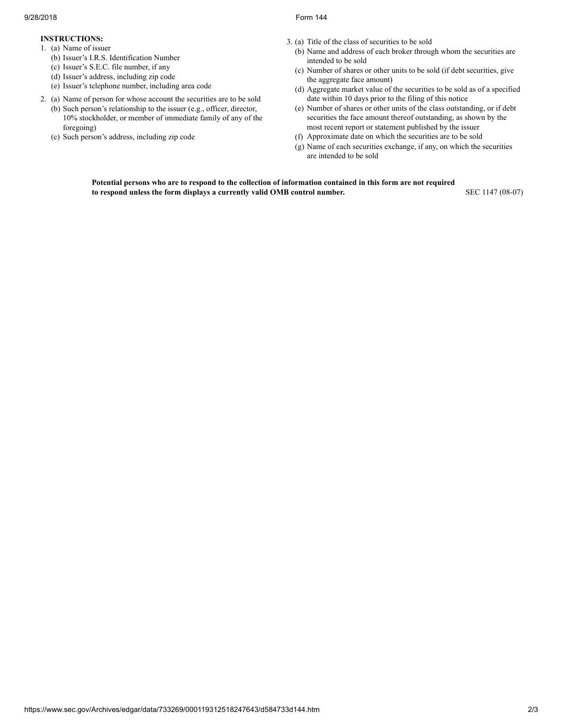- **INSTRUCTIONS:**
- 1. (a) Name of issuer
	- (b) Issuer's I.R.S. Identification Number
	- (c) Issuer's S.E.C. file number, if any
	- (d) Issuer's address, including zip code
	- (e) Issuer's telephone number, including area code
- 2. (a) Name of person for whose account the securities are to be sold (b) Such person's relationship to the issuer (e.g., officer, director, 10% stockholder, or member of immediate family of any of the
	- foregoing) (c) Such person's address, including zip code
- 3. (a) Title of the class of securities to be sold
	- (b) Name and address of each broker through whom the securities are intended to be sold
	- (c) Number of shares or other units to be sold (if debt securities, give the aggregate face amount)
	- (d) Aggregate market value of the securities to be sold as of a specified date within 10 days prior to the filing of this notice
	- (e) Number of shares or other units of the class outstanding, or if debt securities the face amount thereof outstanding, as shown by the most recent report or statement published by the issuer
	- (f) Approximate date on which the securities are to be sold
	- (g) Name of each securities exchange, if any, on which the securities are intended to be sold

Potential persons who are to respond to the collection of information contained in this form are not required **to respond unless the form displays a currently valid OMB control number.** SEC 1147 (08-07)